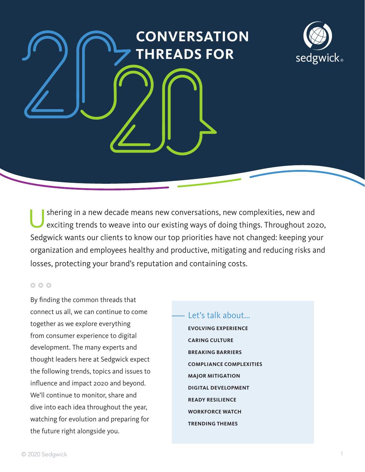# **CONVERSATION THREADS FOR**



Ushering in a new decade means new conversations, new complexities, new and exciting trends to weave into our existing ways of doing things. Throughout 2020, Sedgwick wants our clients to know our top priorities have not changed: keeping your organization and employees healthy and productive, mitigating and reducing risks and losses, protecting your brand's reputation and containing costs.

### 000

By finding the common threads that connect us all, we can continue to come together as we explore everything from consumer experience to digital development. The many experts and thought leaders here at Sedgwick expect the following trends, topics and issues to influence and impact 2020 and beyond. We'll continue to monitor, share and dive into each idea throughout the year, watching for evolution and preparing for the future right alongside you.

### Let's talk about...

**EVOLVING EXPERIENCE CARING CULTURE BREAKING BARRIERS COMPLIANCE COMPLEXITIES MAJOR MITIGATION DIGITAL DEVELOPMENT READY RESILIENCE WORKFORCE WATCH TRENDING THEMES**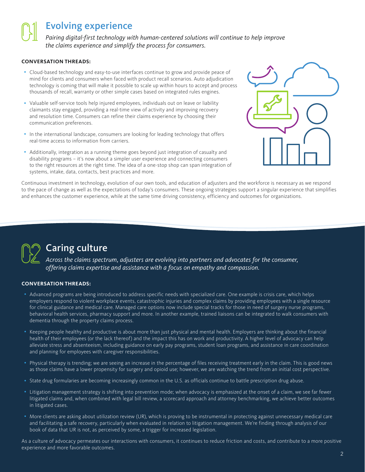### Evolving experience

*Pairing digital-first technology with human-centered solutions will continue to help improve the claims experience and simplify the process for consumers.*

#### **CONVERSATION THREADS:**

- Cloud-based technology and easy-to-use interfaces continue to grow and provide peace of mind for clients and consumers when faced with product recall scenarios. Auto adjudication technology is coming that will make it possible to scale up within hours to accept and process thousands of recall, warranty or other simple cases based on integrated rules engines.
- Valuable self-service tools help injured employees, individuals out on leave or liability claimants stay engaged, providing a real-time view of activity and improving recovery and resolution time. Consumers can refine their claims experience by choosing their communication preferences.
- In the international landscape, consumers are looking for leading technology that offers real-time access to information from carriers.
- Additionally, integration as a running theme goes beyond just integration of casualty and disability programs – it's now about a simpler user experience and connecting consumers to the right resources at the right time. The idea of a one-stop shop can span integration of systems, intake, data, contacts, best practices and more.



Continuous investment in technology, evolution of our own tools, and education of adjusters and the workforce is necessary as we respond to the pace of change as well as the expectations of today's consumers. These ongoing strategies support a singular experience that simplifies and enhances the customer experience, while at the same time driving consistency, efficiency and outcomes for organizations.



## Caring culture

*Across the claims spectrum, adjusters are evolving into partners and advocates for the consumer, offering claims expertise and assistance with a focus on empathy and compassion.*

#### **CONVERSATION THREADS:**

- Advanced programs are being introduced to address specific needs with specialized care. One example is crisis care, which helps employers respond to violent workplace events, catastrophic injuries and complex claims by providing employees with a single resource for clinical guidance and medical care. Managed care options now include special tracks for those in need of surgery nurse programs, behavioral health services, pharmacy support and more. In another example, trained liaisons can be integrated to walk consumers with dementia through the property claims process.
- Keeping people healthy and productive is about more than just physical and mental health. Employers are thinking about the financial health of their employees (or the lack thereof) and the impact this has on work and productivity. A higher level of advocacy can help alleviate stress and absenteeism, including guidance on early pay programs, student loan programs, and assistance in care coordination and planning for employees with caregiver responsibilities.
- Physical therapy is trending; we are seeing an increase in the percentage of files receiving treatment early in the claim. This is good news as those claims have a lower propensity for surgery and opioid use; however, we are watching the trend from an initial cost perspective.
- State drug formularies are becoming increasingly common in the U.S. as officials continue to battle prescription drug abuse.
- Litigation management strategy is shifting into prevention mode; when advocacy is emphasized at the onset of a claim, we see far fewer litigated claims and, when combined with legal bill review, a scorecard approach and attorney benchmarking, we achieve better outcomes in litigated cases.
- More clients are asking about utilization review (UR), which is proving to be instrumental in protecting against unnecessary medical care and facilitating a safe recovery, particularly when evaluated in relation to litigation management. We're finding through analysis of our book of data that UR is not, as perceived by some, a trigger for increased legislation.

As a culture of advocacy permeates our interactions with consumers, it continues to reduce friction and costs, and contribute to a more positive experience and more favorable outcomes.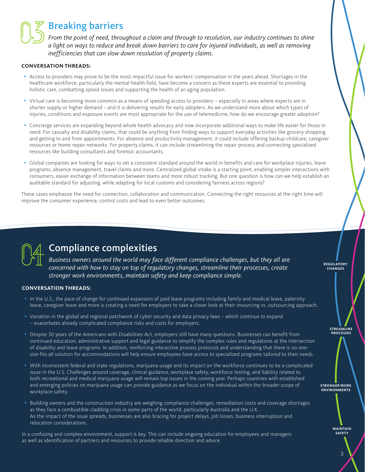### Breaking barriers

*From the point of need, throughout a claim and through to resolution, our industry continues to shine a light on ways to reduce and break down barriers to care for injured individuals, as well as removing inefficiencies that can slow down resolution of property claims.* 

#### **CONVERSATION THREADS:**

- Access to providers may prove to be the most impactful issue for workers' compensation in the years ahead. Shortages in the healthcare workforce, particularly the mental health field, have become a concern as these experts are essential to providing holistic care, combatting opioid issues and supporting the health of an aging population.
- Virtual care is becoming more common as a means of speeding access to providers especially in areas where experts are in shorter supply or higher demand – and it is delivering results for early adopters. As we understand more about which types of injuries, conditions and exposure events are most appropriate for the use of telemedicine, how do we encourage greater adoption?
- Concierge services are expanding beyond whole health advocacy and now incorporate additional ways to make life easier for those in need. For casualty and disability claims, that could be anything from finding ways to support everyday activities like grocery shopping and getting to and from appointments. For absence and productivity management, it could include offering backup childcare, caregiver resources or home repair networks. For property claims, it can include streamlining the repair process and connecting specialized resources like building consultants and forensic accountants.
- Global companies are looking for ways to set a consistent standard around the world in benefits and care for workplace injuries, leave programs, absence management, travel claims and more. Centralized global intake is a starting point, enabling simpler interactions with consumers, easier exchange of information between teams and more robust tracking. But one question is how can we help establish an auditable standard for adjusting, while adapting for local customs and considering fairness across regions?

These cases emphasize the need for connection, collaboration and communication. Connecting the right resources at the right time will improve the consumer experience, control costs and lead to even better outcomes.



## Compliance complexities

*Business owners around the world may face different compliance challenges, but they all are concerned with how to stay on top of regulatory changes, streamline their processes, create stronger work environments, maintain safety and keep compliance simple.*

#### **CONVERSATION THREADS:**

- In the U.S., the pace of change for continued expansion of paid leave programs including family and medical leave, paternity leave, caregiver leave and more is creating a need for employers to take a closer look at their insourcing vs. outsourcing approach.
- Variation in the global and regional patchwork of cyber security and data privacy laws which continue to expand – exacerbates already complicated compliance risks and costs for employers.
- Despite 30 years of the Americans with Disabilities Act, employers still have many questions. Businesses can benefit from continued education, administrative support and legal guidance to simplify the complex rules and regulations at the intersection of disability and leave programs. In addition, reinforcing interactive process protocols and understanding that there is no onesize-fits-all solution for accommodations will help ensure employees have access to specialized programs tailored to their needs.
- With inconsistent federal and state regulations, marijuana usage and its impact on the workforce continues to be a complicated issue in the U.S. Challenges around coverage, clinical guidance, workplace safety, workforce testing, and liability related to both recreational and medical marijuana usage will remain top issues in the coming year. Perhaps countries with established and emerging policies on marijuana usage can provide guidance as we focus on the individual within the broader scope of workplace safety.
- Building owners and the construction industry are weighing compliance challenges, remediation costs and coverage shortages as they face a combustible cladding crisis in some parts of the world, particularly Australia and the U.K. As the impact of the issue spreads, businesses are also bracing for project delays, job losses, business interruption and relocation considerations.

In a confusing and complex environment, support is key. This can include ongoing education for employees and managers as well as identification of partners and resources to provide reliable direction and advice.

**STREAMLINE PROCESSES**

**REGULATORY CHANGES**

**STRONGER WORK ENVIRONMENTS** 

> **MAINTAIN SAFETY**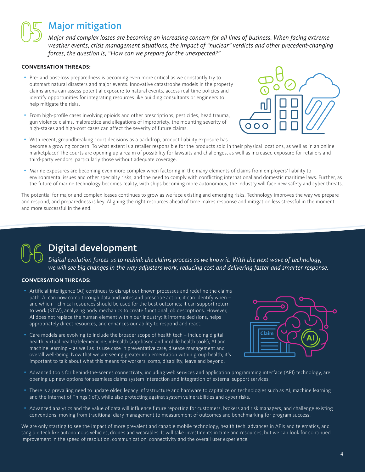### Major mitigation

*Major and complex losses are becoming an increasing concern for all lines of business. When facing extreme weather events, crisis management situations, the impact of "nuclear" verdicts and other precedent-changing forces, the question is, "How can we prepare for the unexpected?"* 

#### **CONVERSATION THREADS:**

- Pre- and post-loss preparedness is becoming even more critical as we constantly try to outsmart natural disasters and major events. Innovative catastrophe models in the property claims arena can assess potential exposure to natural events, access real-time policies and identify opportunities for integrating resources like building consultants or engineers to help mitigate the risks.
- From high-profile cases involving opioids and other prescriptions, pesticides, head trauma, gun violence claims, malpractice and allegations of impropriety, the mounting severity of high-stakes and high-cost cases can affect the severity of future claims.
- 
- With recent, groundbreaking court decisions as a backdrop, product liability exposure has become a growing concern. To what extent is a retailer responsible for the products sold in their physical locations, as well as in an online marketplace? The courts are opening up a realm of possibility for lawsuits and challenges, as well as increased exposure for retailers and third-party vendors, particularly those without adequate coverage.
- Marine exposures are becoming even more complex when factoring in the many elements of claims from employers' liability to environmental issues and other specialty risks, and the need to comply with conflicting international and domestic maritime laws. Further, as the future of marine technology becomes reality, with ships becoming more autonomous, the industry will face new safety and cyber threats.

The potential for major and complex losses continues to grow as we face existing and emerging risks. Technology improves the way we prepare and respond, and preparedness is key. Aligning the right resources ahead of time makes response and mitigation less stressful in the moment and more successful in the end.

## Digital development

*Digital evolution forces us to rethink the claims process as we know it. With the next wave of technology, we will see big changes in the way adjusters work, reducing cost and delivering faster and smarter response.*

#### **CONVERSATION THREADS:**

- Artificial intelligence (AI) continues to disrupt our known processes and redefine the claims path. AI can now comb through data and notes and prescribe action; it can identify when – and which – clinical resources should be used for the best outcomes; it can support return to work (RTW), analyzing body mechanics to create functional job descriptions. However, AI does not replace the human element within our industry; it informs decisions, helps appropriately direct resources, and enhances our ability to respond and react.
- Care models are evolving to include the broader scope of health tech including digital health, virtual health/telemedicine, mHealth (app-based and mobile health tools), AI and machine learning – as well as its use case in preventative care, disease management and overall well-being. Now that we are seeing greater implementation within group health, it's important to talk about what this means for workers' comp, disability, leave and beyond.



- Advanced tools for behind-the-scenes connectivity, including web services and application programming interface (API) technology, are opening up new options for seamless claims system interaction and integration of external support services.
- There is a prevailing need to update older, legacy infrastructure and hardware to capitalize on technologies such as AI, machine learning and the Internet of Things (IoT), while also protecting against system vulnerabilities and cyber risks.
- Advanced analytics and the value of data will influence future reporting for customers, brokers and risk managers, and challenge existing conventions, moving from traditional diary management to measurement of outcomes and benchmarking for program success.

We are only starting to see the impact of more prevalent and capable mobile technology, health tech, advances in APIs and telematics, and tangible tech like autonomous vehicles, drones and wearables. It will take investments in time and resources, but we can look for continued improvement in the speed of resolution, communication, connectivity and the overall user experience.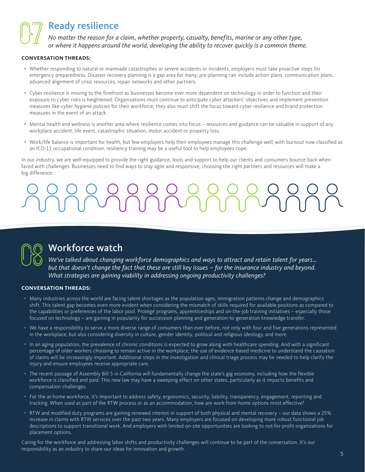### Ready resilience

*No matter the reason for a claim, whether property, casualty, benefits, marine or any other type, or where it happens around the world, developing the ability to recover quickly is a common theme.*

#### **CONVERSATION THREADS:**

- Whether responding to natural or manmade catastrophes or severe accidents or incidents, employers must take proactive steps for emergency preparedness. Disaster recovery planning is a gap area for many; pre-planning can include action plans, communication plans, advanced alignment of crisis resources, repair networks and other partners.
- Cyber resilience is moving to the forefront as businesses become ever more dependent on technology in order to function and their exposure to cyber risks is heightened. Organizations must continue to anticipate cyber attackers' objectives and implement prevention measures like cyber hygiene policies for their workforce; they also must shift the focus toward cyber resilience and brand protection measures in the event of an attack.
- Mental health and wellness is another area where resilience comes into focus resources and guidance can be valuable in support of any workplace accident, life event, catastrophic situation, motor accident or property loss.
- Work/life balance is important for health, but few employers help their employees manage this challenge well; with burnout now classified as an ICD-11 occupational condition, resiliency training may be a useful tool to help employees cope.

In our industry, we are well-equipped to provide the right guidance, tools and support to help our clients and consumers bounce back when faced with challenges. Businesses need to find ways to stay agile and responsive; choosing the right partners and resources will make a big difference.



### Workforce watch

*We've talked about changing workforce demographics and ways to attract and retain talent for years… but that doesn't change the fact that these are still key issues – for the insurance industry and beyond. What strategies are gaining viability in addressing ongoing productivity challenges?*

#### **CONVERSATION THREADS:**

- Many industries across the world are facing talent shortages as the population ages, immigration patterns change and demographics shift. This talent gap becomes even more evident when considering the mismatch of skills required for available positions as compared to the capabilities or preferences of the labor pool. Protégé programs, apprenticeships and on-the-job training initiatives – especially those focused on technology – are gaining in popularity for succession planning and generation-to-generation knowledge transfer.
- We have a responsibility to serve a more diverse range of consumers than ever before, not only with four and five generations represented in the workplace, but also considering diversity in culture, gender identity, political and religious ideology, and more.
- In an aging population, the prevalence of chronic conditions is expected to grow along with healthcare spending. And with a significant percentage of older workers choosing to remain active in the workplace, the use of evidence-based medicine to understand the causation of claims will be increasingly important. Additional steps in the investigation and clinical triage process may be needed to help clarify the injury and ensure employees receive appropriate care.
- The recent passage of Assembly Bill 5 in California will fundamentally change the state's gig economy, including how the flexible workforce is classified and paid. This new law may have a sweeping effect on other states, particularly as it impacts benefits and compensation challenges.
- For the at-home workforce, it's important to address safety, ergonomics, security, liability, transparency, engagement, reporting and tracking. When used as part of the RTW process or as an accommodation, how are work-from-home options most effective?
- RTW and modified duty programs are gaining renewed interest in support of both physical and mental recovery our data shows a 25% increase in claims with RTW services over the past two years. Many employers are focused on developing more robust functional job descriptions to support transitional work. And employers with limited on-site opportunities are looking to not-for-profit organizations for placement options.

Caring for the workforce and addressing labor shifts and productivity challenges will continue to be part of the conversation. It's our responsibility as an industry to share our ideas for innovation and growth.